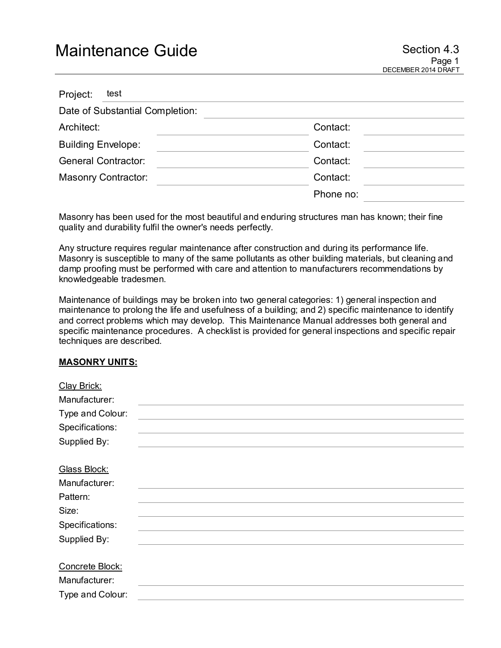# Maintenance Guide **Section 4.3** Section 4.3

| Project:                   | test                            |           |  |
|----------------------------|---------------------------------|-----------|--|
|                            | Date of Substantial Completion: |           |  |
| Architect:                 |                                 | Contact:  |  |
| <b>Building Envelope:</b>  |                                 | Contact:  |  |
| <b>General Contractor:</b> |                                 | Contact:  |  |
| <b>Masonry Contractor:</b> |                                 | Contact:  |  |
|                            |                                 | Phone no: |  |

Masonry has been used for the most beautiful and enduring structures man has known; their fine quality and durability fulfil the owner's needs perfectly.

Any structure requires regular maintenance after construction and during its performance life. Masonry is susceptible to many of the same pollutants as other building materials, but cleaning and damp proofing must be performed with care and attention to manufacturers recommendations by knowledgeable tradesmen.

Maintenance of buildings may be broken into two general categories: 1) general inspection and maintenance to prolong the life and usefulness of a building; and 2) specific maintenance to identify and correct problems which may develop. This Maintenance Manual addresses both general and specific maintenance procedures. A checklist is provided for general inspections and specific repair techniques are described.

#### **MASONRY UNITS:**

| Clay Brick:      |  |
|------------------|--|
| Manufacturer:    |  |
| Type and Colour: |  |
| Specifications:  |  |
| Supplied By:     |  |
|                  |  |
| Glass Block:     |  |
| Manufacturer:    |  |
| Pattern:         |  |
| Size:            |  |
| Specifications:  |  |
| Supplied By:     |  |
|                  |  |
| Concrete Block:  |  |
| Manufacturer:    |  |
| Type and Colour: |  |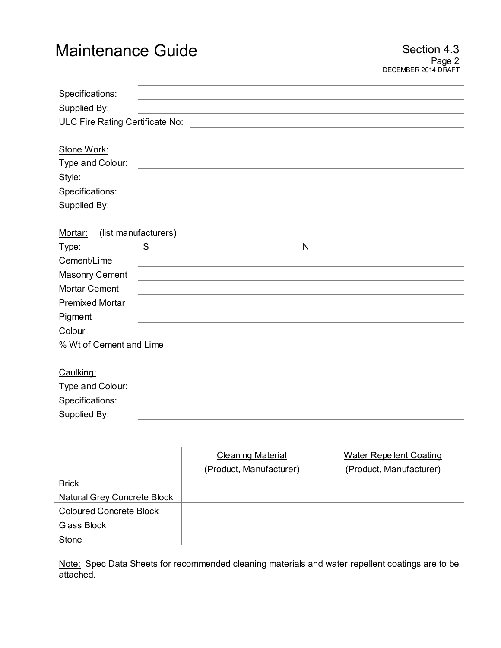# Maintenance Guide Section 4.3

| Specifications:                 |                                                                                           |                                                                                                                      |   |  |
|---------------------------------|-------------------------------------------------------------------------------------------|----------------------------------------------------------------------------------------------------------------------|---|--|
| Supplied By:                    |                                                                                           | <u> 1989 - Johann Stein, marwolaethau a bhann an t-Amhair an t-Amhair an t-Amhair an t-Amhair an t-Amhair an t-A</u> |   |  |
|                                 |                                                                                           |                                                                                                                      |   |  |
|                                 |                                                                                           |                                                                                                                      |   |  |
| Stone Work:                     |                                                                                           |                                                                                                                      |   |  |
| Type and Colour:                |                                                                                           | <u> 1989 - John Stein, Amerikaansk politiker († 1908)</u>                                                            |   |  |
| Style:                          |                                                                                           |                                                                                                                      |   |  |
| Specifications:                 |                                                                                           |                                                                                                                      |   |  |
| Supplied By:                    |                                                                                           |                                                                                                                      |   |  |
|                                 |                                                                                           |                                                                                                                      |   |  |
| (list manufacturers)<br>Mortar: |                                                                                           |                                                                                                                      |   |  |
| Type:                           | S<br><u> 1990 - John Barn Barn, mars a</u>                                                |                                                                                                                      | N |  |
| Cement/Lime                     |                                                                                           |                                                                                                                      |   |  |
| <b>Masonry Cement</b>           |                                                                                           |                                                                                                                      |   |  |
| <b>Mortar Cement</b>            |                                                                                           |                                                                                                                      |   |  |
| <b>Premixed Mortar</b>          |                                                                                           |                                                                                                                      |   |  |
| Pigment                         |                                                                                           |                                                                                                                      |   |  |
| Colour                          |                                                                                           |                                                                                                                      |   |  |
| % Wt of Cement and Lime         |                                                                                           |                                                                                                                      |   |  |
|                                 |                                                                                           |                                                                                                                      |   |  |
| Caulking:                       |                                                                                           |                                                                                                                      |   |  |
| Type and Colour:                | the control of the control of the control of the control of the control of the control of |                                                                                                                      |   |  |
| Specifications:                 |                                                                                           |                                                                                                                      |   |  |
| Supplied By:                    |                                                                                           |                                                                                                                      |   |  |

|                                | <b>Cleaning Material</b> | <b>Water Repellent Coating</b> |
|--------------------------------|--------------------------|--------------------------------|
|                                | (Product, Manufacturer)  | (Product, Manufacturer)        |
| <b>Brick</b>                   |                          |                                |
| Natural Grey Concrete Block    |                          |                                |
| <b>Coloured Concrete Block</b> |                          |                                |
| Glass Block                    |                          |                                |
| <b>Stone</b>                   |                          |                                |

Note: Spec Data Sheets for recommended cleaning materials and water repellent coatings are to be attached.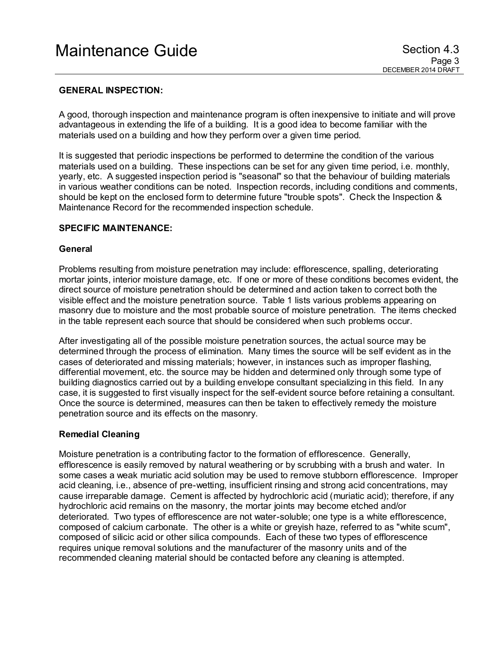# **GENERAL INSPECTION:**

A good, thorough inspection and maintenance program is often inexpensive to initiate and will prove advantageous in extending the life of a building. It is a good idea to become familiar with the materials used on a building and how they perform over a given time period.

It is suggested that periodic inspections be performed to determine the condition of the various materials used on a building. These inspections can be set for any given time period, i.e. monthly, yearly, etc. A suggested inspection period is "seasonal" so that the behaviour of building materials in various weather conditions can be noted. Inspection records, including conditions and comments, should be kept on the enclosed form to determine future "trouble spots". Check the Inspection & Maintenance Record for the recommended inspection schedule.

#### **SPECIFIC MAINTENANCE:**

#### **General**

Problems resulting from moisture penetration may include: efflorescence, spalling, deteriorating mortar joints, interior moisture damage, etc. If one or more of these conditions becomes evident, the direct source of moisture penetration should be determined and action taken to correct both the visible effect and the moisture penetration source. Table 1 lists various problems appearing on masonry due to moisture and the most probable source of moisture penetration. The items checked in the table represent each source that should be considered when such problems occur.

After investigating all of the possible moisture penetration sources, the actual source may be determined through the process of elimination. Many times the source will be self evident as in the cases of deteriorated and missing materials; however, in instances such as improper flashing, differential movement, etc. the source may be hidden and determined only through some type of building diagnostics carried out by a building envelope consultant specializing in this field. In any case, it is suggested to first visually inspect for the self-evident source before retaining a consultant. Once the source is determined, measures can then be taken to effectively remedy the moisture penetration source and its effects on the masonry.

#### **Remedial Cleaning**

Moisture penetration is a contributing factor to the formation of efflorescence. Generally, efflorescence is easily removed by natural weathering or by scrubbing with a brush and water. In some cases a weak muriatic acid solution may be used to remove stubborn efflorescence. Improper acid cleaning, i.e., absence of pre-wetting, insufficient rinsing and strong acid concentrations, may cause irreparable damage. Cement is affected by hydrochloric acid (muriatic acid); therefore, if any hydrochloric acid remains on the masonry, the mortar joints may become etched and/or deteriorated. Two types of efflorescence are not water-soluble; one type is a white efflorescence, composed of calcium carbonate. The other is a white or greyish haze, referred to as "white scum", composed of silicic acid or other silica compounds. Each of these two types of efflorescence requires unique removal solutions and the manufacturer of the masonry units and of the recommended cleaning material should be contacted before any cleaning is attempted.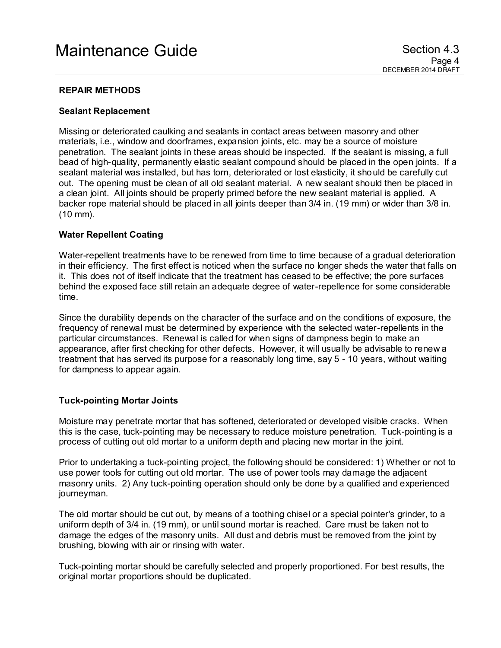# **REPAIR METHODS**

#### **Sealant Replacement**

Missing or deteriorated caulking and sealants in contact areas between masonry and other materials, i.e., window and doorframes, expansion joints, etc. may be a source of moisture penetration. The sealant joints in these areas should be inspected. If the sealant is missing, a full bead of high-quality, permanently elastic sealant compound should be placed in the open joints. If a sealant material was installed, but has torn, deteriorated or lost elasticity, it should be carefully cut out. The opening must be clean of all old sealant material. A new sealant should then be placed in a clean joint. All joints should be properly primed before the new sealant material is applied. A backer rope material should be placed in all joints deeper than 3/4 in. (19 mm) or wider than 3/8 in. (10 mm).

### **Water Repellent Coating**

Water-repellent treatments have to be renewed from time to time because of a gradual deterioration in their efficiency. The first effect is noticed when the surface no longer sheds the water that falls on it. This does not of itself indicate that the treatment has ceased to be effective; the pore surfaces behind the exposed face still retain an adequate degree of water-repellence for some considerable time.

Since the durability depends on the character of the surface and on the conditions of exposure, the frequency of renewal must be determined by experience with the selected water-repellents in the particular circumstances. Renewal is called for when signs of dampness begin to make an appearance, after first checking for other defects. However, it will usually be advisable to renew a treatment that has served its purpose for a reasonably long time, say 5 - 10 years, without waiting for dampness to appear again.

#### **Tuck-pointing Mortar Joints**

Moisture may penetrate mortar that has softened, deteriorated or developed visible cracks. When this is the case, tuck-pointing may be necessary to reduce moisture penetration. Tuck-pointing is a process of cutting out old mortar to a uniform depth and placing new mortar in the joint.

Prior to undertaking a tuck-pointing project, the following should be considered: 1) Whether or not to use power tools for cutting out old mortar. The use of power tools may damage the adjacent masonry units. 2) Any tuck-pointing operation should only be done by a qualified and experienced journeyman.

The old mortar should be cut out, by means of a toothing chisel or a special pointer's grinder, to a uniform depth of 3/4 in. (19 mm), or until sound mortar is reached. Care must be taken not to damage the edges of the masonry units. All dust and debris must be removed from the joint by brushing, blowing with air or rinsing with water.

Tuck-pointing mortar should be carefully selected and properly proportioned. For best results, the original mortar proportions should be duplicated.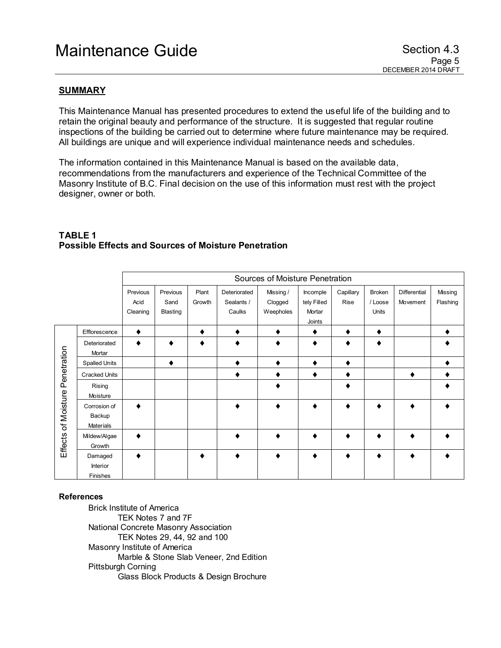# **SUMMARY**

This Maintenance Manual has presented procedures to extend the useful life of the building and to retain the original beauty and performance of the structure. It is suggested that regular routine inspections of the building be carried out to determine where future maintenance may be required. All buildings are unique and will experience individual maintenance needs and schedules.

The information contained in this Maintenance Manual is based on the available data, recommendations from the manufacturers and experience of the Technical Committee of the Masonry Institute of B.C. Final decision on the use of this information must rest with the project designer, owner or both.

|                                 |                                     | Sources of Moisture Penetration |          |        |              |           |             |           |        |              |          |
|---------------------------------|-------------------------------------|---------------------------------|----------|--------|--------------|-----------|-------------|-----------|--------|--------------|----------|
|                                 |                                     | Previous                        | Previous | Plant  | Deteriorated | Missing / | Incomple    | Capillary | Broken | Differential | Missing  |
|                                 |                                     | Acid                            | Sand     | Growth | Sealants /   | Clogged   | tely Filled | Rise      | /Loose | Movement     | Flashing |
|                                 |                                     | Cleaning                        | Blasting |        | Caulks       | Weepholes | Mortar      |           | Units  |              |          |
|                                 |                                     |                                 |          |        |              |           | Joints      |           |        |              |          |
|                                 | Efflorescence                       |                                 |          |        |              |           | ٠           | ٠         |        |              |          |
|                                 | Deteriorated<br>Mortar              |                                 |          |        |              |           |             |           |        |              |          |
|                                 | <b>Spalled Units</b>                |                                 | ٠        |        |              | ٠         | ٠           | ٠         |        |              |          |
|                                 | <b>Cracked Units</b>                |                                 |          |        |              |           | ٠           | ٠         |        |              |          |
| Effects of Moisture Penetration | Rising<br>Moisture                  |                                 |          |        |              |           |             | ٠         |        |              |          |
|                                 | Corrosion of<br>Backup<br>Materials |                                 |          |        |              |           |             |           |        |              |          |
|                                 | Mildew/Algae<br>Growth              |                                 |          |        |              | ٠         | ۰           | ٠         |        |              |          |
|                                 | Damaged<br>Interior<br>Finishes     |                                 |          |        |              |           |             |           |        |              |          |

# **TABLE 1 Possible Effects and Sources of Moisture Penetration**

#### **References**

Brick Institute of America TEK Notes 7 and 7F National Concrete Masonry Association TEK Notes 29, 44, 92 and 100 Masonry Institute of America Marble & Stone Slab Veneer, 2nd Edition Pittsburgh Corning Glass Block Products & Design Brochure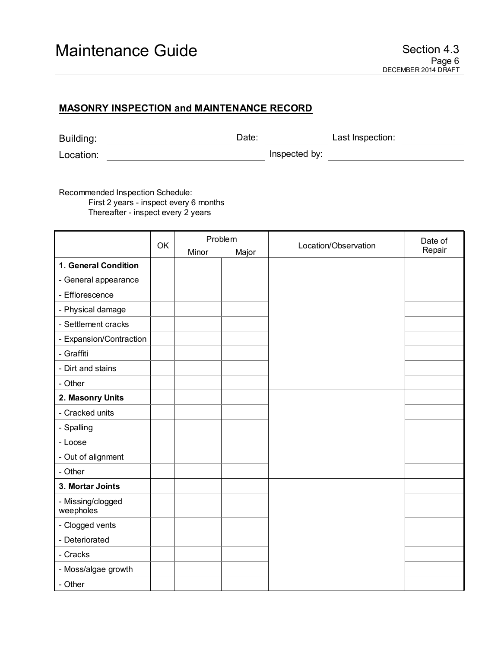# **MASONRY INSPECTION and MAINTENANCE RECORD**

| Building: | Date: |               | Last Inspection: |  |
|-----------|-------|---------------|------------------|--|
| Location: |       | Inspected by: |                  |  |

Recommended Inspection Schedule: First 2 years - inspect every 6 months Thereafter - inspect every 2 years

|                                |    | Problem |       |                      | Date of |
|--------------------------------|----|---------|-------|----------------------|---------|
|                                | OK | Minor   | Major | Location/Observation | Repair  |
| 1. General Condition           |    |         |       |                      |         |
| - General appearance           |    |         |       |                      |         |
| - Efflorescence                |    |         |       |                      |         |
| - Physical damage              |    |         |       |                      |         |
| - Settlement cracks            |    |         |       |                      |         |
| - Expansion/Contraction        |    |         |       |                      |         |
| - Graffiti                     |    |         |       |                      |         |
| - Dirt and stains              |    |         |       |                      |         |
| - Other                        |    |         |       |                      |         |
| 2. Masonry Units               |    |         |       |                      |         |
| - Cracked units                |    |         |       |                      |         |
| - Spalling                     |    |         |       |                      |         |
| - Loose                        |    |         |       |                      |         |
| - Out of alignment             |    |         |       |                      |         |
| - Other                        |    |         |       |                      |         |
| 3. Mortar Joints               |    |         |       |                      |         |
| - Missing/clogged<br>weepholes |    |         |       |                      |         |
| - Clogged vents                |    |         |       |                      |         |
| - Deteriorated                 |    |         |       |                      |         |
| - Cracks                       |    |         |       |                      |         |
| - Moss/algae growth            |    |         |       |                      |         |
| - Other                        |    |         |       |                      |         |